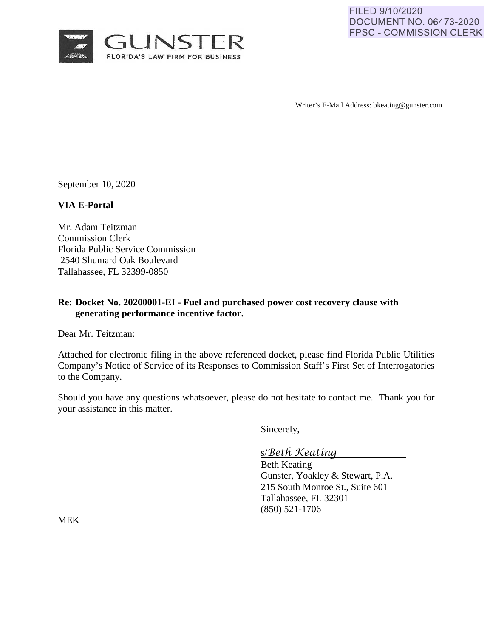

Writer's E-Mail Address: bkeating@gunster.com

September 10, 2020

#### **VIA E-Portal**

Mr. Adam Teitzman Commission Clerk Florida Public Service Commission 2540 Shumard Oak Boulevard Tallahassee, FL 32399-0850

### **Re: Docket No. 20200001-EI - Fuel and purchased power cost recovery clause with generating performance incentive factor.**

Dear Mr. Teitzman:

Attached for electronic filing in the above referenced docket, please find Florida Public Utilities Company's Notice of Service of its Responses to Commission Staff's First Set of Interrogatories to the Company.

Should you have any questions whatsoever, please do not hesitate to contact me. Thank you for your assistance in this matter.

Sincerely,

s/*Beth Keating*

Beth Keating Gunster, Yoakley & Stewart, P.A. 215 South Monroe St., Suite 601 Tallahassee, FL 32301 (850) 521-1706

MEK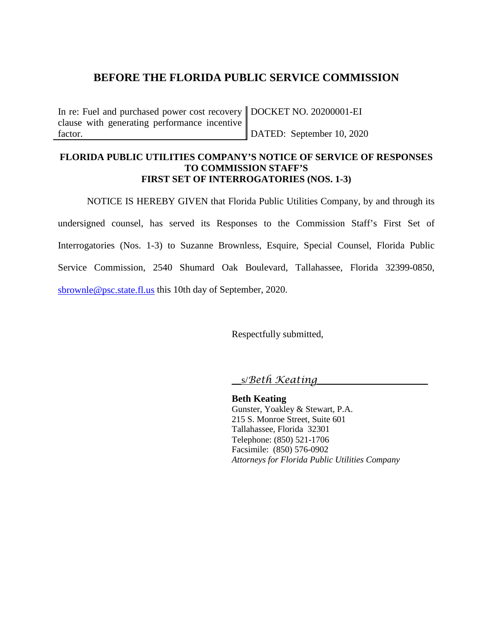# **BEFORE THE FLORIDA PUBLIC SERVICE COMMISSION**

In re: Fuel and purchased power cost recovery DOCKET NO. 20200001-EI clause with generating performance incentive factor.

DATED: September 10, 2020

### **FLORIDA PUBLIC UTILITIES COMPANY'S NOTICE OF SERVICE OF RESPONSES TO COMMISSION STAFF'S FIRST SET OF INTERROGATORIES (NOS. 1-3)**

NOTICE IS HEREBY GIVEN that Florida Public Utilities Company, by and through its undersigned counsel, has served its Responses to the Commission Staff's First Set of Interrogatories (Nos. 1-3) to Suzanne Brownless, Esquire, Special Counsel, Florida Public Service Commission, 2540 Shumard Oak Boulevard, Tallahassee, Florida 32399-0850, [sbrownle@psc.state.fl.us](mailto:sbrownle@psc.state.fl.us) this 10th day of September, 2020.

Respectfully submitted,

\_\_s/*Beth Keating*\_\_\_\_\_\_\_\_\_\_\_\_\_\_\_\_\_\_\_\_\_\_\_

**Beth Keating** Gunster, Yoakley & Stewart, P.A. 215 S. Monroe Street, Suite 601 Tallahassee, Florida 32301 Telephone: (850) 521-1706 Facsimile: (850) 576-0902 *Attorneys for Florida Public Utilities Company*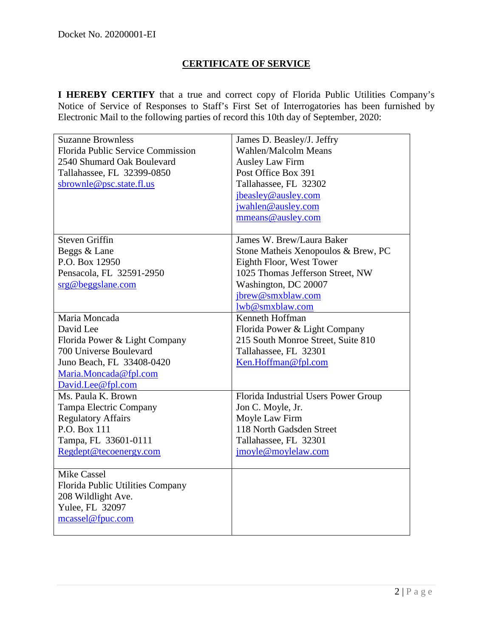# **CERTIFICATE OF SERVICE**

**I HEREBY CERTIFY** that a true and correct copy of Florida Public Utilities Company's Notice of Service of Responses to Staff's First Set of Interrogatories has been furnished by Electronic Mail to the following parties of record this 10th day of September, 2020:

| <b>Suzanne Brownless</b>          | James D. Beasley/J. Jeffry           |
|-----------------------------------|--------------------------------------|
| Florida Public Service Commission | <b>Wahlen/Malcolm Means</b>          |
| 2540 Shumard Oak Boulevard        | <b>Ausley Law Firm</b>               |
| Tallahassee, FL 32399-0850        | Post Office Box 391                  |
| sbrownle@psc.state.fl.us          | Tallahassee, FL 32302                |
|                                   | jbeasley@ausley.com                  |
|                                   | jwahlen@ausley.com                   |
|                                   | mmeans@ausley.com                    |
|                                   |                                      |
| <b>Steven Griffin</b>             | James W. Brew/Laura Baker            |
| Beggs & Lane                      | Stone Matheis Xenopoulos & Brew, PC  |
| P.O. Box 12950                    | Eighth Floor, West Tower             |
| Pensacola, FL 32591-2950          | 1025 Thomas Jefferson Street, NW     |
| srg@beggslane.com                 | Washington, DC 20007                 |
|                                   | jbrew@smxblaw.com                    |
|                                   | lwb@smxblaw.com                      |
| Maria Moncada                     | Kenneth Hoffman                      |
| David Lee                         | Florida Power & Light Company        |
| Florida Power & Light Company     | 215 South Monroe Street, Suite 810   |
| 700 Universe Boulevard            | Tallahassee, FL 32301                |
| Juno Beach, FL 33408-0420         | Ken.Hoffman@fpl.com                  |
| Maria.Moncada@fpl.com             |                                      |
| David.Lee@fpl.com                 |                                      |
| Ms. Paula K. Brown                | Florida Industrial Users Power Group |
| Tampa Electric Company            | Jon C. Moyle, Jr.                    |
| <b>Regulatory Affairs</b>         | Moyle Law Firm                       |
| P.O. Box 111                      | 118 North Gadsden Street             |
| Tampa, FL 33601-0111              | Tallahassee, FL 32301                |
| Regdept@tecoenergy.com            | jmoyle@moylelaw.com                  |
|                                   |                                      |
| <b>Mike Cassel</b>                |                                      |
| Florida Public Utilities Company  |                                      |
| 208 Wildlight Ave.                |                                      |
| Yulee, FL 32097                   |                                      |
| mcassel@fpuc.com                  |                                      |
|                                   |                                      |